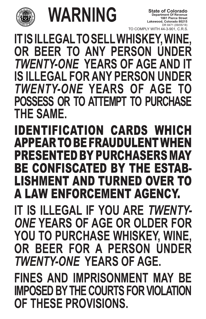

## **WARNING**

IDENTIFICATION CARDS WHICH **APPEAR TO BE FRAUDULENT** RESENTED BY PURCHASERS BE CONFISCATED BY THE EST LISHMENT AND TURNED OVE A LAW ENFORCEMENT AGENCY. **IT IS ILLEGAL IF YOU ARE** *TWENTY-ONE* YEARS OF AGE OR OL

**IT IS ILLEGAL TO SELL WHISKEY, WINE, BEER TO ANY PERSON** *TWENTY-ONE* YEARS OF AGE A **EGAL FOR ANY PERSON UNDER** *TWENTY-ONE* **YEARS OF AGE TO POSSESS OR TO ATTEMPT TO PURCHASE THE SAME.**

TO COMPLY WITH 44-3-901, C.R.S. **Department Of Revenue 1881 Pierce Street Lakewood, Colorado 80215** DR 8471 (09/05/18) **State of Colorado**

## **YOU TO PURCHASE WHISKEY, WINE, OR BEER FOR A PERSON UNDER**  *TWENTY-ONE* **YEARS OF AGE. FINES AND IMPRISONMENT MAY BE IMPOSED BY THE COURTS FOR VIOLATION OF THESE PROVISIONS.**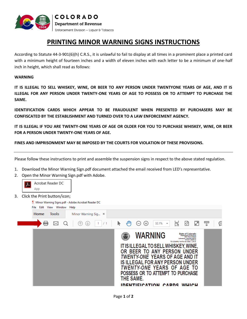

## **PRINTING MINOR WARNING SIGNS INSTRUCTIONS**

According to Statute 44-3-901(6)(h) C.R.S., it is unlawful to fail to display at all times in a prominent place a printed card with a minimum height of fourteen inches and a width of eleven inches with each letter to be a minimum of one-half inch in height, which shall read as follows:

## **WARNING**

**IT IS ILLEGAL TO SELL WHISKEY, WINE, OR BEER TO ANY PERSON UNDER TWENTYONE YEARS OF AGE, AND IT IS ILLEGAL FOR ANY PERSON UNDER TWENTY-ONE YEARS OF AGE TO POSSESS OR TO ATTEMPT TO PURCHASE THE SAME.** 

**IDENTIFICATION CARDS WHICH APPEAR TO BE FRAUDULENT WHEN PRESENTED BY PURCHASERS MAY BE CONFISCATED BY THE ESTABLISHMENT AND TURNED OVER TO A LAW ENFORCEMENT AGENCY.** 

**IT IS ILLEGAL IF YOU ARE TWENTY-ONE YEARS OF AGE OR OLDER FOR YOU TO PURCHASE WHISKEY, WINE, OR BEER FOR A PERSON UNDER TWENTY-ONE YEARS OF AGE.** 

**FINES AND IMPRISONMENT MAY BE IMPOSED BY THE COURTS FOR VIOLATION OF THESE PROVISIONS.**

Please follow these instructions to print and assemble the suspension signs in respect to the above stated regulation.

- 1. Download the Minor Warning Sign.pdf document attached the email received from LED's representative.
- 2. Open the Minor Warning Sign.pdf with Adobe.



3. Click the Print button/icon;